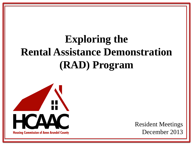# **Exploring the Rental Assistance Demonstration (RAD) Program**



Resident Meetings December 2013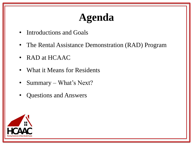# **Agenda**

- Introductions and Goals
- The Rental Assistance Demonstration (RAD) Program
- RAD at HCAAC
- What it Means for Residents
- Summary What's Next?
- Questions and Answers

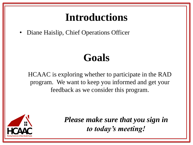#### **Introductions**

• Diane Haislip, Chief Operations Officer

### **Goals**

HCAAC is exploring whether to participate in the RAD program. We want to keep you informed and get your feedback as we consider this program.



*Please make sure that you sign in to today's meeting!*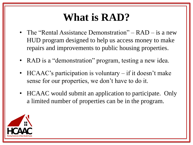### **What is RAD?**

- The "Rental Assistance Demonstration" RAD is a new HUD program designed to help us access money to make repairs and improvements to public housing properties.
- RAD is a "demonstration" program, testing a new idea.
- HCAAC's participation is voluntary if it doesn't make sense for our properties, we don't have to do it.
- HCAAC would submit an application to participate. Only a limited number of properties can be in the program.

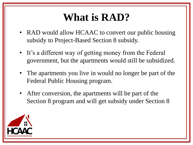## **What is RAD?**

- RAD would allow HCAAC to convert our public housing subsidy to Project-Based Section 8 subsidy.
- It's a different way of getting money from the Federal government, but the apartments would still be subsidized.
- The apartments you live in would no longer be part of the Federal Public Housing program.
- After conversion, the apartments will be part of the Section 8 program and will get subsidy under Section 8

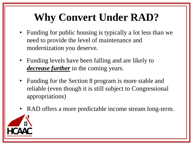# **Why Convert Under RAD?**

- Funding for public housing is typically a lot less than we need to provide the level of maintenance and modernization you deserve.
- Funding levels have been falling and are likely to *decrease further* in the coming years.
- Funding for the Section 8 program is more stable and reliable (even though it is still subject to Congressional appropriations)
- RAD offers a more predictable income stream long-term.

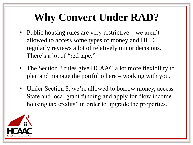## **Why Convert Under RAD?**

- Public housing rules are very restrictive we aren't allowed to access some types of money and HUD regularly reviews a lot of relatively minor decisions. There's a lot of "red tape."
- The Section 8 rules give HCAAC a lot more flexibility to plan and manage the portfolio here – working with you.
- Under Section 8, we're allowed to borrow money, access State and local grant funding and apply for "low income housing tax credits" in order to upgrade the properties.

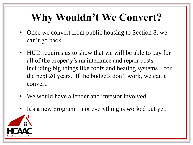## **Why Wouldn't We Convert?**

- Once we convert from public housing to Section 8, we can't go back.
- HUD requires us to show that we will be able to pay for all of the property's maintenance and repair costs – including big things like roofs and heating systems – for the next 20 years. If the budgets don't work, we can't convert.
- We would have a lender and investor involved.
- It's a new program not everything is worked out yet.

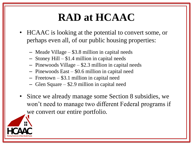## **RAD at HCAAC**

- HCAAC is looking at the potential to convert some, or perhaps even all, of our public housing properties:
	- Meade Village \$3.8 million in capital needs
	- Stoney Hill \$1.4 million in capital needs
	- Pinewoods Village \$2.3 million in capital needs
	- Pinewoods East \$0.6 million in capital need
	- Freetown \$3.1 million in capital need
	- Glen Square \$2.9 million in capital need
- Since we already manage some Section 8 subsidies, we won't need to manage two different Federal programs if we convert our entire portfolio.

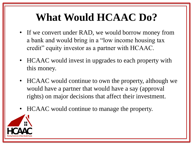## **What Would HCAAC Do?**

- If we convert under RAD, we would borrow money from a bank and would bring in a "low income housing tax credit" equity investor as a partner with HCAAC.
- HCAAC would invest in upgrades to each property with this money.
- HCAAC would continue to own the property, although we would have a partner that would have a say (approval rights) on major decisions that affect their investment.
- HCAAC would continue to manage the property.

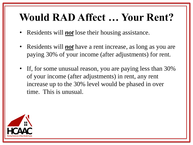### **Would RAD Affect … Your Rent?**

- Residents will *not* lose their housing assistance.
- Residents will *not* have a rent increase, as long as you are paying 30% of your income (after adjustments) for rent.
- If, for some unusual reason, you are paying less than 30% of your income (after adjustments) in rent, any rent increase up to the 30% level would be phased in over time. This is unusual.

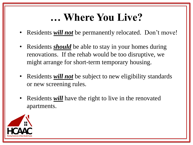### **… Where You Live?**

- Residents *will not* be permanently relocated. Don't move!
- Residents *should* be able to stay in your homes during renovations. If the rehab would be too disruptive, we might arrange for short-term temporary housing.
- Residents *will not* be subject to new eligibility standards or new screening rules.
- Residents *will* have the right to live in the renovated apartments.

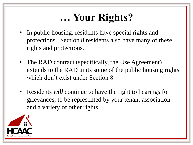## **… Your Rights?**

- In public housing, residents have special rights and protections. Section 8 residents also have many of these rights and protections.
- The RAD contract (specifically, the Use Agreement) extends to the RAD units some of the public housing rights which don't exist under Section 8.
- Residents *will* continue to have the right to hearings for grievances, to be represented by your tenant association and a variety of other rights.

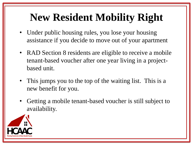# **New Resident Mobility Right**

- Under public housing rules, you lose your housing assistance if you decide to move out of your apartment
- RAD Section 8 residents are eligible to receive a mobile tenant-based voucher after one year living in a projectbased unit.
- This jumps you to the top of the waiting list. This is a new benefit for you.
- Getting a mobile tenant-based voucher is still subject to availability.

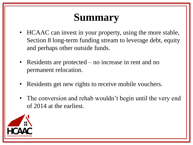## **Summary**

- HCAAC can invest in your property, using the more stable, Section 8 long-term funding stream to leverage debt, equity and perhaps other outside funds.
- Residents are protected no increase in rent and no permanent relocation.
- Residents get new rights to receive mobile vouchers.
- The conversion and rehab wouldn't begin until the very end of 2014 at the earliest.

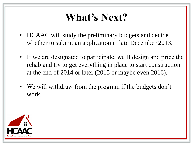#### **What's Next?**

- HCAAC will study the preliminary budgets and decide whether to submit an application in late December 2013.
- If we are designated to participate, we'll design and price the rehab and try to get everything in place to start construction at the end of 2014 or later (2015 or maybe even 2016).
- We will withdraw from the program if the budgets don't work.